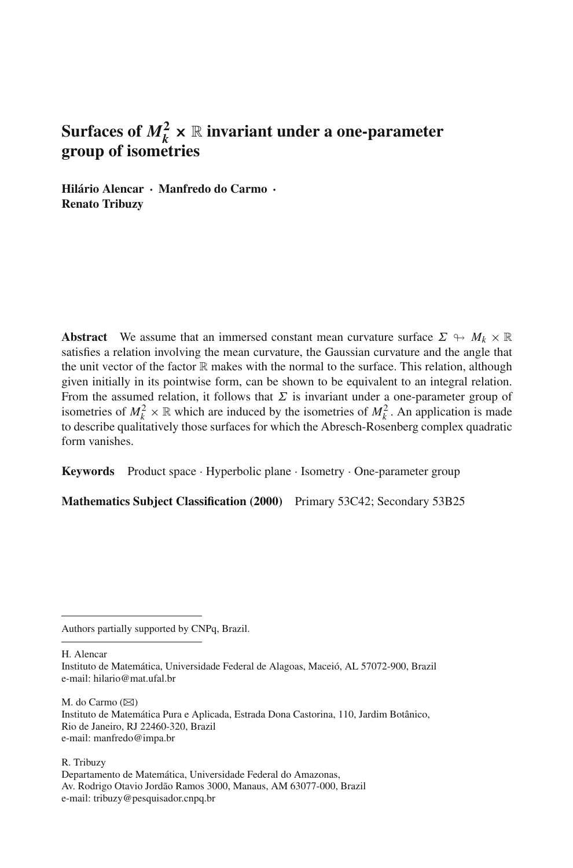# **Surfaces of**  $M_k^2 \times \mathbb{R}$  **invariant under a one-parameter group of isometries**

**Hilário Alencar · Manfredo do Carmo · Renato Tribuzy**

**Abstract** We assume that an immersed constant mean curvature surface  $\Sigma \rightarrow M_k \times \mathbb{R}$ satisfies a relation involving the mean curvature, the Gaussian curvature and the angle that the unit vector of the factor  $\mathbb R$  makes with the normal to the surface. This relation, although given initially in its pointwise form, can be shown to be equivalent to an integral relation. From the assumed relation, it follows that  $\Sigma$  is invariant under a one-parameter group of isometries of  $M_k^2 \times \mathbb{R}$  which are induced by the isometries of  $M_k^2$ . An application is made to describe qualitatively those surfaces for which the Abresch-Rosenberg complex quadratic form vanishes.

**Keywords** Product space · Hyperbolic plane · Isometry · One-parameter group

**Mathematics Subject Classification (2000)** Primary 53C42; Secondary 53B25

Authors partially supported by CNPq, Brazil.

H. Alencar

Instituto de Matemática, Universidade Federal de Alagoas, Maceió, AL 57072-900, Brazil e-mail: hilario@mat.ufal.br

M. do Carmo  $(\boxtimes)$ Instituto de Matemática Pura e Aplicada, Estrada Dona Castorina, 110, Jardim Botânico, Rio de Janeiro, RJ 22460-320, Brazil e-mail: manfredo@impa.br

R. Tribuzy

Departamento de Matemática, Universidade Federal do Amazonas, Av. Rodrigo Otavio Jordão Ramos 3000, Manaus, AM 63077-000, Brazil e-mail: tribuzy@pesquisador.cnpq.br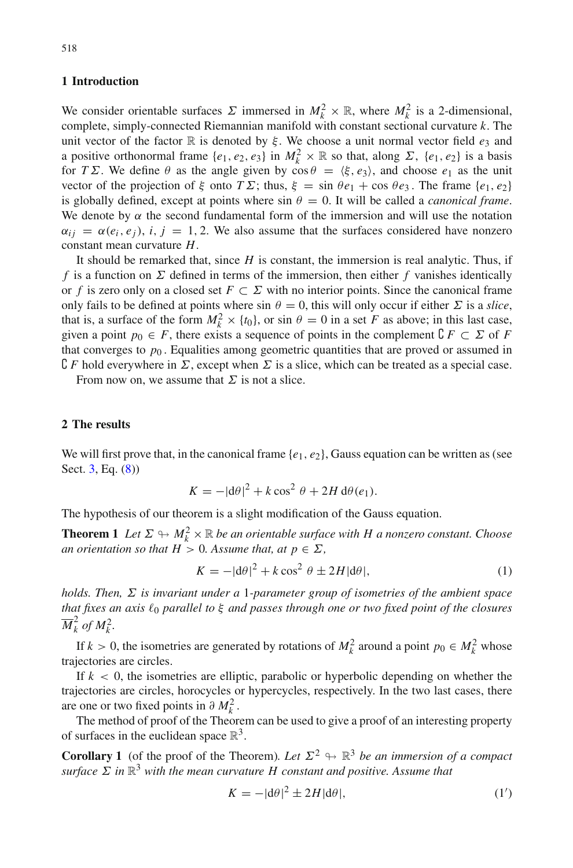## **1 Introduction**

We consider orientable surfaces  $\Sigma$  immersed in  $M_k^2 \times \mathbb{R}$ , where  $M_k^2$  is a 2-dimensional, complete, simply-connected Riemannian manifold with constant sectional curvature *k*. The unit vector of the factor  $\mathbb R$  is denoted by  $\xi$ . We choose a unit normal vector field  $e_3$  and a positive orthonormal frame  $\{e_1, e_2, e_3\}$  in  $M_k^2 \times \mathbb{R}$  so that, along  $\Sigma$ ,  $\{e_1, e_2\}$  is a basis for *T* Σ. We define  $\theta$  as the angle given by  $\cos \theta = \langle \xi, e_3 \rangle$ , and choose  $e_1$  as the unit vector of the projection of  $\xi$  onto  $T\Sigma$ ; thus,  $\xi = \sin \theta e_1 + \cos \theta e_3$ . The frame  $\{e_1, e_2\}$ is globally defined, except at points where  $\sin \theta = 0$ . It will be called a *canonical frame*. We denote by  $\alpha$  the second fundamental form of the immersion and will use the notation  $\alpha_{ij} = \alpha(e_i, e_j)$ , *i*, *j* = 1, 2. We also assume that the surfaces considered have nonzero constant mean curvature *H*.

It should be remarked that, since *H* is constant, the immersion is real analytic. Thus, if *f* is a function on Σ defined in terms of the immersion, then either *f* vanishes identically or *f* is zero only on a closed set  $F \subset \Sigma$  with no interior points. Since the canonical frame only fails to be defined at points where sin  $\theta = 0$ , this will only occur if either  $\Sigma$  is a *slice*, that is, a surface of the form  $M_k^2 \times \{t_0\}$ , or sin  $\theta = 0$  in a set *F* as above; in this last case, given a point  $p_0 \in F$ , there exists a sequence of points in the complement  $\mathcal{C} F \subset \Sigma$  of F that converges to  $p_0$ . Equalities among geometric quantities that are proved or assumed in  $\mathcal{C} F$  hold everywhere in  $\Sigma$ , except when  $\Sigma$  is a slice, which can be treated as a special case.

From now on, we assume that  $\Sigma$  is not a slice.

### <span id="page-1-3"></span>**2 The results**

We will first prove that, in the canonical frame  $\{e_1, e_2\}$ , Gauss equation can be written as (see Sect. [3,](#page-3-0) Eq. [\(8\)](#page-4-0))

$$
K = -|\mathrm{d}\theta|^2 + k\cos^2\theta + 2H\,\mathrm{d}\theta(e_1).
$$

<span id="page-1-2"></span>The hypothesis of our theorem is a slight modification of the Gauss equation.

**Theorem 1** Let  $\Sigma \looparrowright M_k^2 \times \mathbb{R}$  be an orientable surface with H a nonzero constant. Choose *an orientation so that*  $H > 0$ *. Assume that, at*  $p \in \Sigma$ *,* 

$$
K = -|\mathbf{d}\theta|^2 + k\cos^2\theta \pm 2H|\mathbf{d}\theta|,\tag{1}
$$

<span id="page-1-0"></span>*holds. Then,* Σ *is invariant under a* 1*-parameter group of isometries of the ambient space that fixes an axis* <sup>0</sup> *parallel to* ξ *and passes through one or two fixed point of the closures*  $\overline{M}_k^2$  *of*  $M_k^2$ *.* 

If  $k > 0$ , the isometries are generated by rotations of  $M_k^2$  around a point  $p_0 \in M_k^2$  whose trajectories are circles.

If  $k < 0$ , the isometries are elliptic, parabolic or hyperbolic depending on whether the trajectories are circles, horocycles or hypercycles, respectively. In the two last cases, there are one or two fixed points in  $\partial M_k^2$ .

<span id="page-1-1"></span>The method of proof of the Theorem can be used to give a proof of an interesting property of surfaces in the euclidean space  $\mathbb{R}^3$ .

**Corollary 1** (of the proof of the Theorem). Let  $\Sigma^2 \leftrightarrow \mathbb{R}^3$  be an immersion of a compact *surface*  $\Sigma$  *in*  $\mathbb{R}^3$  *with the mean curvature* H *constant and positive. Assume that* 

$$
K = -|\mathbf{d}\theta|^2 \pm 2H|\mathbf{d}\theta|,\tag{1'}
$$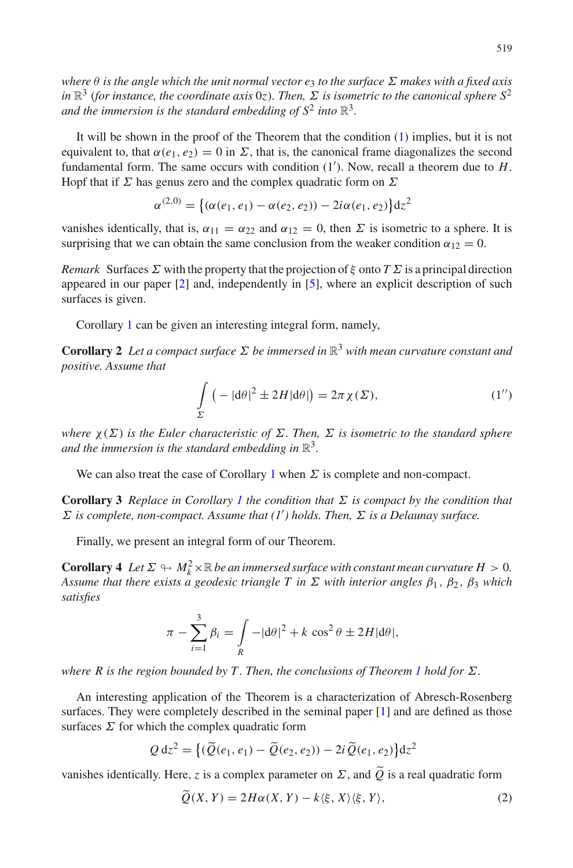*where* θ *is the angle which the unit normal vector e*<sup>3</sup> *to the surface* Σ *makes with a fixed axis in*  $\mathbb{R}^3$  (*for instance, the coordinate axis* 0*z*). Then,  $\Sigma$  *is isometric to the canonical sphere*  $S^2$ *and the immersion is the standard embedding of*  $S^2$  *into*  $\mathbb{R}^3$ *.* 

It will be shown in the proof of the Theorem that the condition [\(1\)](#page-1-0) implies, but it is not equivalent to, that  $\alpha(e_1, e_2) = 0$  in  $\Sigma$ , that is, the canonical frame diagonalizes the second fundamental form. The same occurs with condition (1 ). Now, recall a theorem due to *H*. Hopf that if  $\Sigma$  has genus zero and the complex quadratic form on  $\Sigma$ 

$$
\alpha^{(2,0)} = \{ (\alpha(e_1, e_1) - \alpha(e_2, e_2)) - 2i\alpha(e_1, e_2) \} dz^2
$$

vanishes identically, that is,  $\alpha_{11} = \alpha_{22}$  and  $\alpha_{12} = 0$ , then  $\Sigma$  is isometric to a sphere. It is surprising that we can obtain the same conclusion from the weaker condition  $\alpha_{12} = 0$ .

*Remark* Surfaces  $\Sigma$  with the property that the projection of  $\xi$  onto  $T\Sigma$  is a principal direction appeared in our paper [\[2](#page-10-0)] and, independently in [\[5](#page-10-1)], where an explicit description of such surfaces is given.

Corollary [1](#page-1-1) can be given an interesting integral form, namely,

<span id="page-2-1"></span>**Corollary 2** *Let a compact surface* Σ *be immersed in* R<sup>3</sup> *with mean curvature constant and positive. Assume that*

$$
\int_{\Sigma} \left( -|\mathrm{d}\theta|^2 \pm 2H|\mathrm{d}\theta| \right) = 2\pi \chi(\Sigma),\tag{1''}
$$

*where*  $\chi(\Sigma)$  *is the Euler characteristic of*  $\Sigma$ *. Then,*  $\Sigma$  *is isometric to the standard sphere and the immersion is the standard embedding in*  $\mathbb{R}^3$ *.* 

We can also treat the case of Corollary [1](#page-1-1) when  $\Sigma$  is complete and non-compact.

**Corollary 3** *Replace in Corollary [1](#page-1-1) the condition that*  $\Sigma$  *is compact by the condition that* Σ *is complete, non-compact. Assume that (1 ) holds. Then,* Σ *is a Delaunay surface.*

Finally, we present an integral form of our Theorem.

**Corollary 4** Let  $\Sigma \looparrowright M_k^2 \times \mathbb{R}$  be an immersed surface with constant mean curvature  $H > 0$ . *Assume that there exists a geodesic triangle T in*  $\Sigma$  *with interior angles*  $\beta_1$ ,  $\beta_2$ ,  $\beta_3$  *which satisfies*

$$
\pi - \sum_{i=1}^{3} \beta_i = \int_{R} -|\mathbf{d}\theta|^2 + k \cos^2 \theta \pm 2H |\mathbf{d}\theta|,
$$

*where R is the region bounded by T . Then, the conclusions of Theorem [1](#page-1-2) hold for* Σ*.*

An interesting application of the Theorem is a characterization of Abresch-Rosenberg surfaces. They were completely described in the seminal paper [\[1](#page-10-2)] and are defined as those surfaces  $\Sigma$  for which the complex quadratic form

$$
Q dz2 = \left\{ (\widetilde{Q}(e_1, e_1) - \widetilde{Q}(e_2, e_2)) - 2i \widetilde{Q}(e_1, e_2) \right\} dz2
$$

<span id="page-2-0"></span>vanishes identically. Here,  $z$  is a complex parameter on  $\Sigma$ , and  $Q$  is a real quadratic form

$$
\tilde{Q}(X,Y) = 2H\alpha(X,Y) - k\langle \xi, X \rangle \langle \xi, Y \rangle, \tag{2}
$$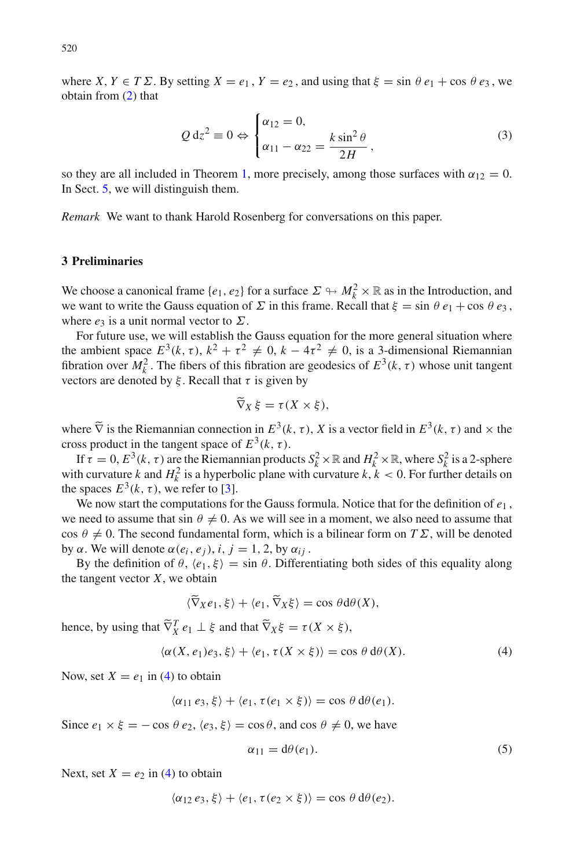where  $X, Y \in T\Sigma$ . By setting  $X = e_1, Y = e_2$ , and using that  $\xi = \sin \theta e_1 + \cos \theta e_3$ , we obtain from [\(2\)](#page-2-0) that

$$
Q dz2 \equiv 0 \Leftrightarrow \begin{cases} \alpha_{12} = 0, \\ \alpha_{11} - \alpha_{22} = \frac{k \sin^2 \theta}{2H}, \end{cases}
$$
 (3)

<span id="page-3-3"></span>so they are all included in Theorem [1,](#page-1-2) more precisely, among those surfaces with  $\alpha_{12} = 0$ . In Sect. [5,](#page-8-0) we will distinguish them.

*Remark* We want to thank Harold Rosenberg for conversations on this paper.

#### <span id="page-3-0"></span>**3 Preliminaries**

We choose a canonical frame  $\{e_1, e_2\}$  for a surface  $\Sigma \to M_k^2 \times \mathbb{R}$  as in the Introduction, and we want to write the Gauss equation of  $\Sigma$  in this frame. Recall that  $\xi = \sin \theta e_1 + \cos \theta e_3$ , where  $e_3$  is a unit normal vector to  $\Sigma$ .

For future use, we will establish the Gauss equation for the more general situation where the ambient space  $E^3(k, \tau)$ ,  $k^2 + \tau^2 \neq 0$ ,  $k - 4\tau^2 \neq 0$ , is a 3-dimensional Riemannian fibration over  $M_k^2$ . The fibers of this fibration are geodesics of  $E^3(k, \tau)$  whose unit tangent vectors are denoted by  $\xi$ . Recall that  $\tau$  is given by

$$
\widetilde{\nabla}_X \xi = \tau(X \times \xi),
$$

where  $\tilde{\nabla}$  is the Riemannian connection in  $E^3(k, \tau)$ , *X* is a vector field in  $E^3(k, \tau)$  and  $\times$  the cross product in the tangent space of  $E^3(k, \tau)$ .

If  $\tau = 0$ ,  $E^3(k, \tau)$  are the Riemannian products  $S_k^2 \times \mathbb{R}$  and  $H_k^2 \times \mathbb{R}$ , where  $S_k^2$  is a 2-sphere with curvature *k* and  $H_k^2$  is a hyperbolic plane with curvature *k*,  $k < 0$ . For further details on the spaces  $E^3(k, \tau)$ , we refer to [\[3](#page-10-3)].

We now start the computations for the Gauss formula. Notice that for the definition of *e*<sup>1</sup> , we need to assume that sin  $\theta \neq 0$ . As we will see in a moment, we also need to assume that cos  $\theta \neq 0$ . The second fundamental form, which is a bilinear form on *T Σ*, will be denoted by α. We will denote  $\alpha(e_i, e_j)$ , *i*, *j* = 1, 2, by  $\alpha_{ij}$ .

By the definition of  $\theta$ ,  $\langle e_1, \xi \rangle = \sin \theta$ . Differentiating both sides of this equality along the tangent vector  $X$ , we obtain

$$
\langle \nabla_X e_1, \xi \rangle + \langle e_1, \nabla_X \xi \rangle = \cos \theta \, d\theta(X),
$$

hence, by using that  $\tilde{\nabla}_X^T e_1 \perp \xi$  and that  $\tilde{\nabla}_X \xi = \tau(X \times \xi)$ ,

$$
\langle \alpha(X, e_1)e_3, \xi \rangle + \langle e_1, \tau(X \times \xi) \rangle = \cos \theta \, d\theta(X). \tag{4}
$$

<span id="page-3-1"></span>Now, set  $X = e_1$  in [\(4\)](#page-3-1) to obtain

$$
\langle \alpha_{11} e_3, \xi \rangle + \langle e_1, \tau(e_1 \times \xi) \rangle = \cos \theta \, d\theta(e_1).
$$

Since  $e_1 \times \xi = -\cos \theta \, e_2, \langle e_3, \xi \rangle = \cos \theta$ , and  $\cos \theta \neq 0$ , we have

$$
\alpha_{11} = d\theta(e_1). \tag{5}
$$

Next, set  $X = e_2$  in [\(4\)](#page-3-1) to obtain

<span id="page-3-2"></span>
$$
\langle \alpha_{12} e_3, \xi \rangle + \langle e_1, \tau(e_2 \times \xi) \rangle = \cos \theta \, d\theta(e_2).
$$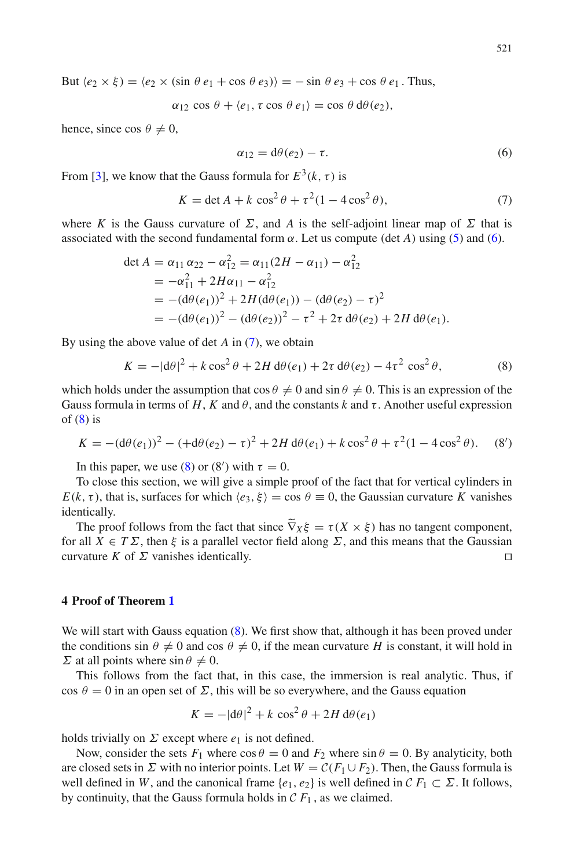But  $\langle e_2 \times \xi \rangle = \langle e_2 \times (\sin \theta \ e_1 + \cos \theta \ e_3) \rangle = -\sin \theta \ e_3 + \cos \theta \ e_1$ . Thus,

<span id="page-4-1"></span> $\alpha_{12} \cos \theta + \langle e_1, \tau \cos \theta \, e_1 \rangle = \cos \theta \, d\theta(e_2),$ 

hence, since cos  $\theta \neq 0$ ,

$$
\alpha_{12} = d\theta(e_2) - \tau. \tag{6}
$$

<span id="page-4-2"></span>From [\[3\]](#page-10-3), we know that the Gauss formula for  $E^3(k, \tau)$  is

$$
K = \det A + k \cos^2 \theta + \tau^2 (1 - 4 \cos^2 \theta),\tag{7}
$$

where *K* is the Gauss curvature of  $\Sigma$ , and *A* is the self-adjoint linear map of  $\Sigma$  that is associated with the second fundamental form  $\alpha$ . Let us compute (det A) using [\(5\)](#page-3-2) and [\(6\)](#page-4-1).

$$
\det A = \alpha_{11} \alpha_{22} - \alpha_{12}^2 = \alpha_{11} (2H - \alpha_{11}) - \alpha_{12}^2
$$
  
=  $-\alpha_{11}^2 + 2H\alpha_{11} - \alpha_{12}^2$   
=  $-(d\theta(e_1))^2 + 2H(d\theta(e_1)) - (d\theta(e_2) - \tau)^2$   
=  $-(d\theta(e_1))^2 - (d\theta(e_2))^2 - \tau^2 + 2\tau d\theta(e_2) + 2H d\theta(e_1).$ 

<span id="page-4-0"></span>By using the above value of det *A* in [\(7\)](#page-4-2), we obtain

$$
K = -|\mathrm{d}\theta|^2 + k\cos^2\theta + 2H\,\mathrm{d}\theta(e_1) + 2\tau\,\mathrm{d}\theta(e_2) - 4\tau^2\,\cos^2\theta,\tag{8}
$$

which holds under the assumption that  $\cos \theta \neq 0$  and  $\sin \theta \neq 0$ . This is an expression of the Gauss formula in terms of *H*, *K* and  $\theta$ , and the constants *k* and  $\tau$ . Another useful expression of  $(8)$  is

$$
K = -(\mathrm{d}\theta(e_1))^2 - (\mathrm{d}\theta(e_2) - \tau)^2 + 2H \,\mathrm{d}\theta(e_1) + k \cos^2\theta + \tau^2 (1 - 4\cos^2\theta). \tag{8'}
$$

In this paper, we use [\(8\)](#page-4-0) or (8') with  $\tau = 0$ .

To close this section, we will give a simple proof of the fact that for vertical cylinders in *E*(*k*,  $\tau$ ), that is, surfaces for which  $\langle e_3, \xi \rangle = \cos \theta \equiv 0$ , the Gaussian curvature *K* vanishes identically.

The proof follows from the fact that since  $\nabla_X \xi = \tau(X \times \xi)$  has no tangent component, for all  $X \in T\Sigma$ , then  $\xi$  is a parallel vector field along  $\Sigma$ , and this means that the Gaussian curvature *K* of  $\Sigma$  vanishes identically.

## **4 Proof of Theorem [1](#page-1-2)**

We will start with Gauss equation [\(8\)](#page-4-0). We first show that, although it has been proved under the conditions sin  $\theta \neq 0$  and cos  $\theta \neq 0$ , if the mean curvature *H* is constant, it will hold in  $\Sigma$  at all points where  $\sin \theta \neq 0$ .

This follows from the fact that, in this case, the immersion is real analytic. Thus, if cos  $\theta = 0$  in an open set of  $\Sigma$ , this will be so everywhere, and the Gauss equation

$$
K = -|\mathrm{d}\theta|^2 + k\,\cos^2\theta + 2H\,\mathrm{d}\theta(e_1)
$$

holds trivially on  $\Sigma$  except where  $e_1$  is not defined.

Now, consider the sets  $F_1$  where  $\cos \theta = 0$  and  $F_2$  where  $\sin \theta = 0$ . By analyticity, both are closed sets in  $\Sigma$  with no interior points. Let  $W = \mathcal{C}(F_1 \cup F_2)$ . Then, the Gauss formula is well defined in *W*, and the canonical frame  $\{e_1, e_2\}$  is well defined in  $\mathcal{C} F_1 \subset \Sigma$ . It follows, by continuity, that the Gauss formula holds in  $\mathcal{C} F_1$ , as we claimed.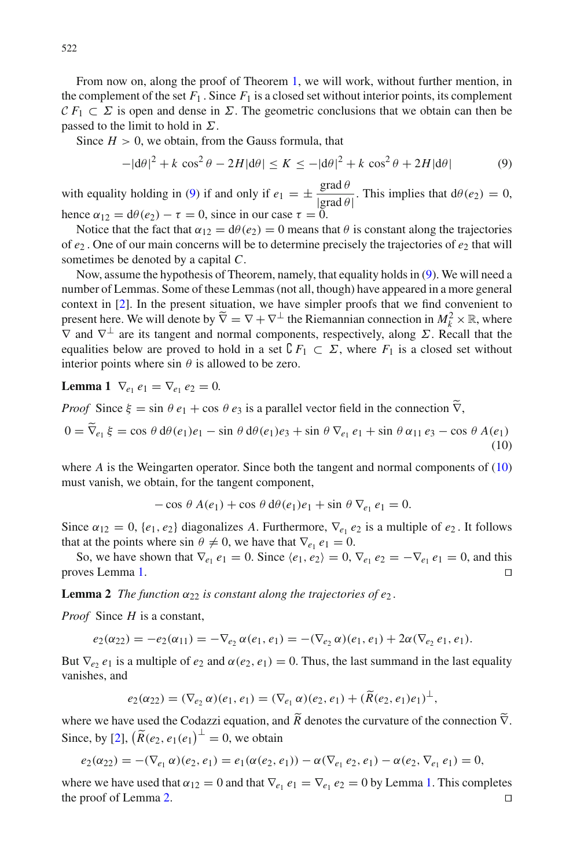From now on, along the proof of Theorem [1,](#page-1-2) we will work, without further mention, in the complement of the set  $F_1$ . Since  $F_1$  is a closed set without interior points, its complement  $CF_1 \subset \Sigma$  is open and dense in  $\Sigma$ . The geometric conclusions that we obtain can then be passed to the limit to hold in  $\Sigma$ .

Since  $H > 0$ , we obtain, from the Gauss formula, that

<span id="page-5-0"></span>
$$
-|\mathrm{d}\theta|^2 + k\,\cos^2\theta - 2H|\mathrm{d}\theta| \le K \le -|\mathrm{d}\theta|^2 + k\,\cos^2\theta + 2H|\mathrm{d}\theta| \tag{9}
$$

with equality holding in [\(9\)](#page-5-0) if and only if  $e_1 = \pm \frac{\text{grad }\theta}{|\text{grad }\theta|}$ . This implies that  $d\theta(e_2) = 0$ , hence  $\alpha_{12} = d\theta(e_2) - \tau = 0$ , since in our case  $\tau = 0$ .

Notice that the fact that  $\alpha_{12} = d\theta(e_2) = 0$  means that  $\theta$  is constant along the trajectories of  $e_2$ . One of our main concerns will be to determine precisely the trajectories of  $e_2$  that will sometimes be denoted by a capital *C*.

Now, assume the hypothesis of Theorem, namely, that equality holds in [\(9\)](#page-5-0). We will need a number of Lemmas. Some of these Lemmas (not all, though) have appeared in a more general context in [\[2](#page-10-0)]. In the present situation, we have simpler proofs that we find convenient to present here. We will denote by  $\widetilde{\nabla} = \nabla + \nabla^{\perp}$  the Riemannian connection in  $M_k^2 \times \mathbb{R}$ , where  $\nabla$  and  $\nabla^{\perp}$  are its tensor and normal separatories geographically slope  $\nabla$ . Bessell that the  $\nabla$  and  $\nabla^{\perp}$  are its tangent and normal components, respectively, along  $\Sigma$ . Recall that the equalities below are proved to hold in a set  $\mathcal{C} F_1 \subset \Sigma$ , where  $F_1$  is a closed set without interior points where  $\sin \theta$  is allowed to be zero.

<span id="page-5-2"></span>**Lemma 1**  $\nabla_{e_1} e_1 = \nabla_{e_1} e_2 = 0.$ 

*Proof* Since  $\xi = \sin \theta e_1 + \cos \theta e_3$  is a parallel vector field in the connection  $\nabla$ ,

$$
0 = \overline{\nabla}_{e_1} \xi = \cos \theta \, d\theta(e_1)e_1 - \sin \theta \, d\theta(e_1)e_3 + \sin \theta \, \nabla_{e_1} e_1 + \sin \theta \, \alpha_{11} e_3 - \cos \theta \, A(e_1)
$$
\n
$$
(10)
$$

where *A* is the Weingarten operator. Since both the tangent and normal components of [\(10\)](#page-5-1) must vanish, we obtain, for the tangent component,

<span id="page-5-1"></span>
$$
-\cos\theta A(e_1) + \cos\theta d\theta(e_1)e_1 + \sin\theta \nabla_{e_1} e_1 = 0.
$$

Since  $\alpha_{12} = 0$ ,  $\{e_1, e_2\}$  diagonalizes *A*. Furthermore,  $\nabla_{e_1} e_2$  is a multiple of  $e_2$ . It follows that at the points where sin  $\theta \neq 0$ , we have that  $\nabla_{e_1} e_1 = 0$ .

So, we have shown that  $\nabla_{e_1} e_1 = 0$ . Since  $\langle e_1, e_2 \rangle = 0$ ,  $\nabla_{e_1} e_2 = -\nabla_{e_1} e_1 = 0$ , and this proves Lemma [1.](#page-5-2) 

<span id="page-5-3"></span>**Lemma 2** *The function*  $\alpha_{22}$  *is constant along the trajectories of e<sub>2</sub>.* 

*Proof* Since *H* is a constant,

$$
e_2(\alpha_{22}) = -e_2(\alpha_{11}) = -\nabla_{e_2} \alpha(e_1, e_1) = -(\nabla_{e_2} \alpha)(e_1, e_1) + 2\alpha(\nabla_{e_2} e_1, e_1).
$$

But  $\nabla_e$ ,  $e_1$  is a multiple of  $e_2$  and  $\alpha(e_2, e_1) = 0$ . Thus, the last summand in the last equality vanishes, and

$$
e_2(\alpha_{22}) = (\nabla_{e_2} \alpha)(e_1, e_1) = (\nabla_{e_1} \alpha)(e_2, e_1) + (\widetilde{R}(e_2, e_1)e_1)^{\perp},
$$

where we have used the Codazzi equation, and  $\overline{R}$  denotes the curvature of the connection  $\overline{V}$ . Since, by [\[2\]](#page-10-0),  $\left(\widetilde{R}(e_2, e_1(e_1)^{\perp}) = 0\right)$ , we obtain

$$
e_2(\alpha_{22}) = -(\nabla_{e_1} \alpha)(e_2, e_1) = e_1(\alpha(e_2, e_1)) - \alpha(\nabla_{e_1} e_2, e_1) - \alpha(e_2, \nabla_{e_1} e_1) = 0,
$$

where we have used that  $\alpha_{12} = 0$  and that  $\nabla_{e_1} e_1 = \nabla_{e_1} e_2 = 0$  by Lemma [1.](#page-5-2) This completes the proof of Lemma [2.](#page-5-3)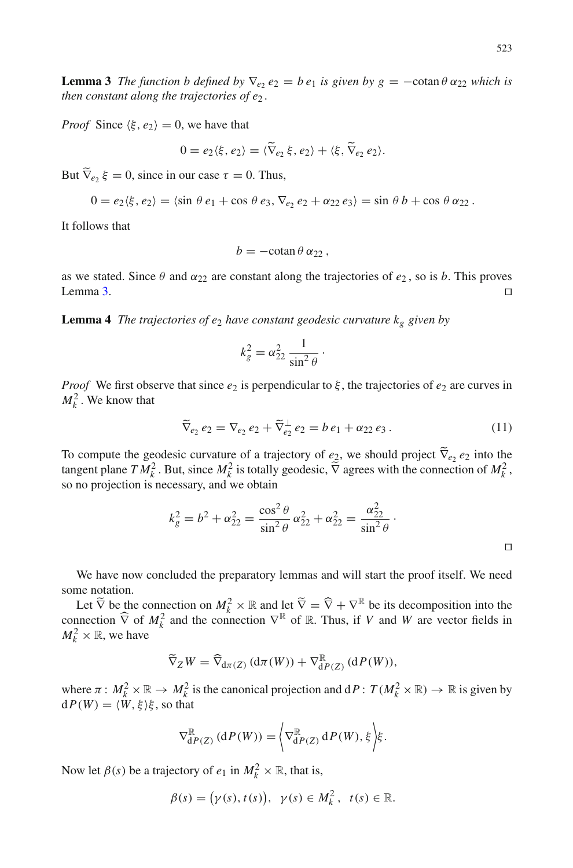<span id="page-6-0"></span>**Lemma 3** *The function b defined by*  $\nabla_e$ ,  $e_2 = be_1$  *is given by*  $g = -\cot \theta \alpha_{22}$  *which is then constant along the trajectories of e*<sup>2</sup> *.*

*Proof* Since  $\langle \xi, e_2 \rangle = 0$ , we have that

$$
0 = e_2 \langle \xi, e_2 \rangle = \langle \widetilde{\nabla}_{e_2} \xi, e_2 \rangle + \langle \xi, \widetilde{\nabla}_{e_2} e_2 \rangle.
$$

But  $\nabla_{e_2} \xi = 0$ , since in our case  $\tau = 0$ . Thus,

$$
0 = e_2 \langle \xi, e_2 \rangle = \langle \sin \theta \, e_1 + \cos \theta \, e_3, \nabla_{e_2} \, e_2 + \alpha_{22} \, e_3 \rangle = \sin \theta \, b + \cos \theta \, \alpha_{22}.
$$

It follows that

$$
b=-\cotan\theta\,\alpha_{22}\,,
$$

as we stated. Since  $\theta$  and  $\alpha_{22}$  are constant along the trajectories of  $e_2$ , so is *b*. This proves Lemma [3.](#page-6-0)

**Lemma 4** *The trajectories of e<sub>2</sub> have constant geodesic curvature*  $k_g$  *given by* 

$$
k_g^2 = \alpha_{22}^2 \frac{1}{\sin^2 \theta}.
$$

*Proof* We first observe that since  $e_2$  is perpendicular to  $\xi$ , the trajectories of  $e_2$  are curves in  $M_k^2$ . We know that

$$
\widetilde{\nabla}_{e_2} e_2 = \nabla_{e_2} e_2 + \widetilde{\nabla}_{e_2}^{\perp} e_2 = b e_1 + \alpha_{22} e_3.
$$
\n(11)

To compute the geodesic curvature of a trajectory of  $e_2$ , we should project  $\nabla_{e_2} e_2$  into the tangent plane *T*  $M_k^2$ . But, since  $M_k^2$  is totally geodesic,  $\tilde{\nabla}$  agrees with the connection of  $M_k^2$ , so no projection is necessary, and we obtain

$$
k_g^2 = b^2 + \alpha_{22}^2 = \frac{\cos^2 \theta}{\sin^2 \theta} \alpha_{22}^2 + \alpha_{22}^2 = \frac{\alpha_{22}^2}{\sin^2 \theta}.
$$

We have now concluded the preparatory lemmas and will start the proof itself. We need some notation.

Let  $\tilde{\nabla}$  be the connection on  $M_k^2 \times \mathbb{R}$  and let  $\tilde{\nabla} = \hat{\nabla} + \nabla^{\mathbb{R}}$  be its decomposition into the connection  $\hat{\nabla}$  of  $M_k^2$  and  $W$  are vector fields in  $M_k^2 \times \mathbb{R}$ , we have

$$
\widetilde{\nabla}_Z W = \widehat{\nabla}_{d\pi(Z)} (d\pi(W)) + \nabla_{dP(Z)}^{\mathbb{R}} (dP(W)),
$$

where  $\pi : M_k^2 \times \mathbb{R} \to M_k^2$  is the canonical projection and  $dP: T(M_k^2 \times \mathbb{R}) \to \mathbb{R}$  is given by  $dP(W) = \langle W, \xi \rangle \xi$ , so that

$$
\nabla_{\mathrm{d}P(Z)}^{\mathbb{R}}\left(\mathrm{d}P(W)\right) = \left\langle \nabla_{\mathrm{d}P(Z)}^{\mathbb{R}}\mathrm{d}P(W),\xi\right\rangle \xi.
$$

Now let  $\beta(s)$  be a trajectory of  $e_1$  in  $M_k^2 \times \mathbb{R}$ , that is,

$$
\beta(s) = (\gamma(s), t(s)), \ \gamma(s) \in M_k^2, \ t(s) \in \mathbb{R}.
$$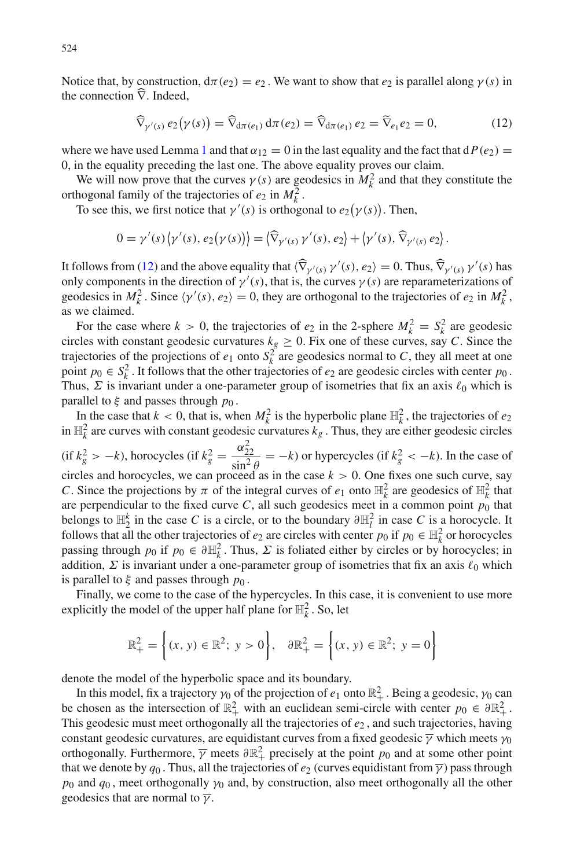Notice that, by construction,  $d\pi(e_2) = e_2$ . We want to show that  $e_2$  is parallel along  $\gamma(s)$  in the connection  $\nabla$ . Indeed,

<span id="page-7-0"></span>
$$
\widehat{\nabla}_{\gamma'(s)} e_2(\gamma(s)) = \widehat{\nabla}_{d\pi(e_1)} d\pi(e_2) = \widehat{\nabla}_{d\pi(e_1)} e_2 = \widetilde{\nabla}_{e_1} e_2 = 0, \tag{12}
$$

where we have used Lemma [1](#page-5-2) and that  $\alpha_{12} = 0$  in the last equality and the fact that  $dP(e_2) =$ 0, in the equality preceding the last one. The above equality proves our claim.

We will now prove that the curves  $\gamma(s)$  are geodesics in  $M_k^2$  and that they constitute the orthogonal family of the trajectories of  $e_2$  in  $M_k^2$ .

To see this, we first notice that  $\gamma'(s)$  is orthogonal to  $e_2(\gamma(s))$ . Then,

$$
0 = \gamma'(s) \langle \gamma'(s), e_2(\gamma(s)) \rangle = \langle \widehat{\nabla}_{\gamma'(s)} \gamma'(s), e_2 \rangle + \langle \gamma'(s), \widehat{\nabla}_{\gamma'(s)} e_2 \rangle.
$$

It follows from [\(12\)](#page-7-0) and the above equality that  $\langle \hat{\nabla}_{\gamma'(s)} \gamma'(s), e_2 \rangle = 0$ . Thus,  $\hat{\nabla}_{\gamma'(s)} \gamma'(s)$  has only components in the direction of  $\gamma'(s)$ , that is, the curves  $\gamma(s)$  are reparameterizations of geodesics in  $M_k^2$ . Since  $\langle \gamma'(s), e_2 \rangle = 0$ , they are orthogonal to the trajectories of  $e_2$  in  $M_k^2$ , as we claimed.

For the case where  $k > 0$ , the trajectories of  $e_2$  in the 2-sphere  $M_k^2 = S_k^2$  are geodesic circles with constant geodesic curvatures  $k_g \ge 0$ . Fix one of these curves, say *C*. Since the trajectories of the projections of  $e_1$  onto  $S_k^2$  are geodesics normal to *C*, they all meet at one point  $p_0 \in S_k^2$ . It follows that the other trajectories of  $e_2$  are geodesic circles with center  $p_0$ . Thus,  $\Sigma$  is invariant under a one-parameter group of isometries that fix an axis  $\ell_0$  which is parallel to  $\xi$  and passes through  $p_0$ .

In the case that  $k < 0$ , that is, when  $M_k^2$  is the hyperbolic plane  $\mathbb{H}_k^2$ , the trajectories of  $e_2$ in  $\mathbb{H}_k^2$  are curves with constant geodesic curvatures  $k_g$ . Thus, they are either geodesic circles (if  $k_g^2 > -k$ ), horocycles (if  $k_g^2 = \frac{\alpha_{22}^2}{\sin^2 \theta} = -k$ ) or hypercycles (if  $k_g^2 < -k$ ). In the case of circles and horocycles, we can proceed as in the case  $k > 0$ . One fixes one such curve, say *C*. Since the projections by  $\pi$  of the integral curves of  $e_1$  onto  $\mathbb{H}^2$  are geodesics of  $\mathbb{H}^2$  that are perpendicular to the fixed curve  $C$ , all such geodesics meet in a common point  $p_0$  that belongs to  $\mathbb{H}_2^k$  in the case *C* is a circle, or to the boundary  $\partial \mathbb{H}_l^2$  in case *C* is a horocycle. It follows that all the other trajectories of  $e_2$  are circles with center  $p_0$  if  $p_0 \in \mathbb{H}_k^2$  or horocycles passing through  $p_0$  if  $p_0 \in \partial \mathbb{H}_k^2$ . Thus,  $\Sigma$  is foliated either by circles or by horocycles; in addition,  $\Sigma$  is invariant under a one-parameter group of isometries that fix an axis  $\ell_0$  which is parallel to  $\xi$  and passes through  $p_0$ .

Finally, we come to the case of the hypercycles. In this case, it is convenient to use more explicitly the model of the upper half plane for  $\mathbb{H}^2_k$ . So, let

$$
\mathbb{R}^{2}_{+} = \left\{ (x, y) \in \mathbb{R}^{2}; y > 0 \right\}, \quad \partial \mathbb{R}^{2}_{+} = \left\{ (x, y) \in \mathbb{R}^{2}; y = 0 \right\}
$$

denote the model of the hyperbolic space and its boundary.

In this model, fix a trajectory  $\gamma_0$  of the projection of  $e_1$  onto  $\mathbb{R}^2_+$ . Being a geodesic,  $\gamma_0$  can be chosen as the intersection of  $\mathbb{R}^2_+$  with an euclidean semi-circle with center  $p_0 \in \partial \mathbb{R}^2_+$ . This geodesic must meet orthogonally all the trajectories of *e*<sup>2</sup> , and such trajectories, having constant geodesic curvatures, are equidistant curves from a fixed geodesic  $\overline{\gamma}$  which meets  $\gamma_0$ orthogonally. Furthermore,  $\overline{\gamma}$  meets  $\partial \mathbb{R}^2_+$  precisely at the point  $p_0$  and at some other point that we denote by  $q_0$ . Thus, all the trajectories of  $e_2$  (curves equidistant from  $\overline{\gamma}$ ) pass through  $p_0$  and  $q_0$ , meet orthogonally  $\gamma_0$  and, by construction, also meet orthogonally all the other geodesics that are normal to  $\bar{\gamma}$ .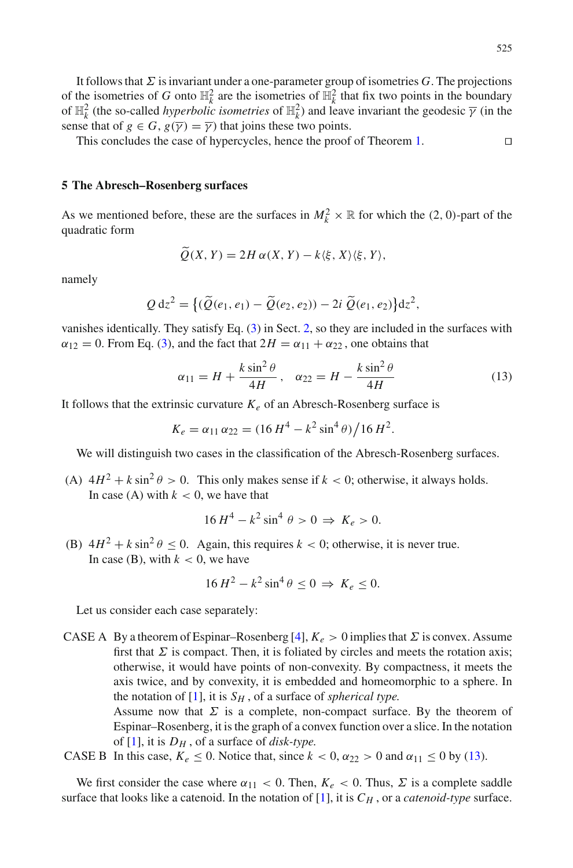It follows that  $\Sigma$  is invariant under a one-parameter group of isometries  $G$ . The projections of the isometries of *G* onto  $\mathbb{H}^2_k$  are the isometries of  $\mathbb{H}^2_k$  that fix two points in the boundary of  $\mathbb{H}_k^2$  (the so-called *hyperbolic isometries* of  $\mathbb{H}_k^2$ ) and leave invariant the geodesic  $\overline{\gamma}$  (in the sense that of  $g \in G$ ,  $g(\overline{\gamma}) = \overline{\gamma}$  that joins these two points.

This concludes the case of hypercycles, hence the proof of Theorem [1.](#page-1-2) 

## <span id="page-8-0"></span>**5 The Abresch–Rosenberg surfaces**

As we mentioned before, these are the surfaces in  $M_k^2 \times \mathbb{R}$  for which the (2, 0)-part of the quadratic form

$$
\widetilde{Q}(X,Y) = 2H\,\alpha(X,Y) - k\langle \xi, X \rangle \langle \xi, Y \rangle,
$$

namely

$$
Q\,\mathrm{d}z^2 = \big\{ (\widetilde{Q}(e_1,e_1) - \widetilde{Q}(e_2,e_2)) - 2i\,\widetilde{Q}(e_1,e_2) \big\} \mathrm{d}z^2,
$$

vanishes identically. They satisfy Eq. [\(3\)](#page-3-3) in Sect. [2,](#page-1-3) so they are included in the surfaces with  $\alpha_{12} = 0$ . From Eq. [\(3\)](#page-3-3), and the fact that  $2H = \alpha_{11} + \alpha_{22}$ , one obtains that

<span id="page-8-1"></span>
$$
\alpha_{11} = H + \frac{k \sin^2 \theta}{4H}, \quad \alpha_{22} = H - \frac{k \sin^2 \theta}{4H}
$$
\n<sup>(13)</sup>

It follows that the extrinsic curvature  $K_e$  of an Abresch-Rosenberg surface is

$$
K_e = \alpha_{11} \alpha_{22} = (16 H^4 - k^2 \sin^4 \theta) / 16 H^2.
$$

We will distinguish two cases in the classification of the Abresch-Rosenberg surfaces.

(A)  $4H^2 + k \sin^2 \theta > 0$ . This only makes sense if  $k < 0$ ; otherwise, it always holds. In case (A) with  $k < 0$ , we have that

$$
16 H^4 - k^2 \sin^4 \theta > 0 \Rightarrow K_e > 0.
$$

(B)  $4H^2 + k \sin^2 \theta \le 0$ . Again, this requires  $k < 0$ ; otherwise, it is never true. In case (B), with  $k < 0$ , we have

$$
16 H^2 - k^2 \sin^4 \theta \le 0 \implies K_e \le 0.
$$

Let us consider each case separately:

CASE A By a theorem of Espinar–Rosenberg [\[4](#page-10-4)],  $K_e > 0$  implies that  $\Sigma$  is convex. Assume first that  $\Sigma$  is compact. Then, it is foliated by circles and meets the rotation axis; otherwise, it would have points of non-convexity. By compactness, it meets the axis twice, and by convexity, it is embedded and homeomorphic to a sphere. In the notation of  $[1]$ , it is  $S_H$ , of a surface of *spherical type*.

> Assume now that  $\Sigma$  is a complete, non-compact surface. By the theorem of Espinar–Rosenberg, it is the graph of a convex function over a slice. In the notation of [\[1](#page-10-2)], it is *DH* , of a surface of *disk-type.*

CASE B In this case,  $K_e \le 0$ . Notice that, since  $k < 0$ ,  $\alpha_{22} > 0$  and  $\alpha_{11} \le 0$  by [\(13\)](#page-8-1).

We first consider the case where  $\alpha_{11} < 0$ . Then,  $K_e < 0$ . Thus,  $\Sigma$  is a complete saddle surface that looks like a catenoid. In the notation of  $[1]$  $[1]$ , it is  $C_H$ , or a *catenoid-type* surface.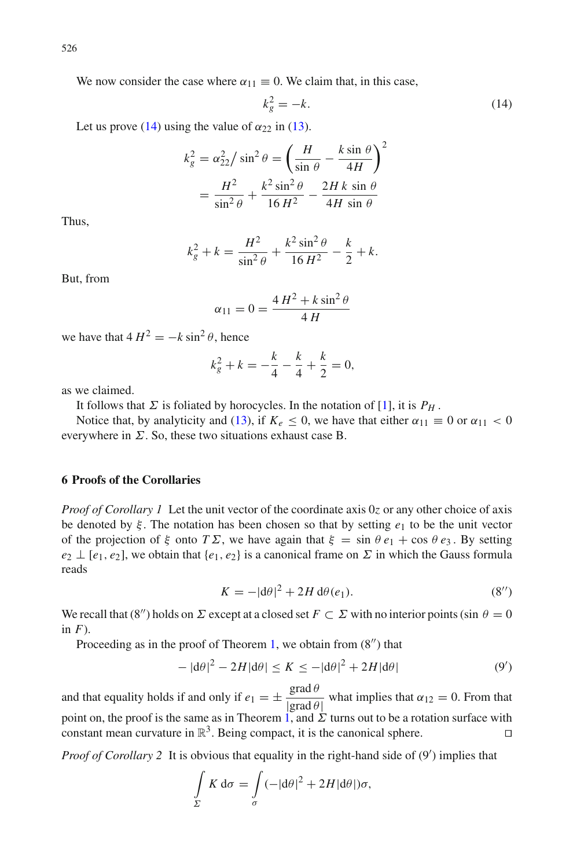We now consider the case where  $\alpha_{11} \equiv 0$ . We claim that, in this case,

<span id="page-9-0"></span>
$$
k_g^2 = -k.\tag{14}
$$

Let us prove [\(14\)](#page-9-0) using the value of  $\alpha_{22}$  in [\(13\)](#page-8-1).

$$
k_g^2 = \alpha_{22}^2 / \sin^2 \theta = \left(\frac{H}{\sin \theta} - \frac{k \sin \theta}{4H}\right)^2
$$

$$
= \frac{H^2}{\sin^2 \theta} + \frac{k^2 \sin^2 \theta}{16H^2} - \frac{2Hk \sin \theta}{4H \sin \theta}
$$

Thus,

$$
k_g^2 + k = \frac{H^2}{\sin^2 \theta} + \frac{k^2 \sin^2 \theta}{16 H^2} - \frac{k}{2} + k.
$$

But, from

$$
\alpha_{11} = 0 = \frac{4H^2 + k\sin^2\theta}{4H}
$$

we have that  $4 H^2 = -k \sin^2 \theta$ , hence

$$
k_g^2 + k = -\frac{k}{4} - \frac{k}{4} + \frac{k}{2} = 0,
$$

as we claimed.

It follows that  $\Sigma$  is foliated by horocycles. In the notation of [\[1\]](#page-10-2), it is  $P_H$ .

Notice that, by analyticity and [\(13\)](#page-8-1), if  $K_e \le 0$ , we have that either  $\alpha_{11} \equiv 0$  or  $\alpha_{11} < 0$ everywhere in  $\Sigma$ . So, these two situations exhaust case B.

# **6 Proofs of the Corollaries**

*Proof of Corollary 1* Let the unit vector of the coordinate axis 0*z* or any other choice of axis be denoted by ξ . The notation has been chosen so that by setting *e*<sup>1</sup> to be the unit vector of the projection of  $\xi$  onto  $T\Sigma$ , we have again that  $\xi = \sin \theta e_1 + \cos \theta e_3$ . By setting  $e_2 \perp [e_1, e_2]$ , we obtain that  $\{e_1, e_2\}$  is a canonical frame on  $\Sigma$  in which the Gauss formula reads

$$
K = -|\mathrm{d}\theta|^2 + 2H \,\mathrm{d}\theta(e_1). \tag{8''}
$$

We recall that (8") holds on  $\Sigma$  except at a closed set  $F \subset \Sigma$  with no interior points (sin  $\theta = 0$ in *F*).

Proceeding as in the proof of Theorem [1,](#page-1-2) we obtain from  $(8'')$  that

$$
-|d\theta|^2 - 2H|d\theta| \le K \le -|d\theta|^2 + 2H|d\theta| \tag{9'}
$$

and that equality holds if and only if  $e_1 = \pm \frac{\text{grad }\theta}{|\text{grad }\theta|}$  what implies that  $\alpha_{12} = 0$ . From that point on, the proof is the same as in Theorem [1,](#page-1-2) and  $\Sigma$  turns out to be a rotation surface with constant mean curvature in  $\mathbb{R}^3$ . Being compact, it is the canonical sphere.

Proof of Corollary 2 It is obvious that equality in the right-hand side of  $(9')$  implies that

$$
\int_{\Sigma} K \, \mathrm{d}\sigma = \int_{\sigma} (-|\mathrm{d}\theta|^2 + 2H|\mathrm{d}\theta|) \sigma,
$$